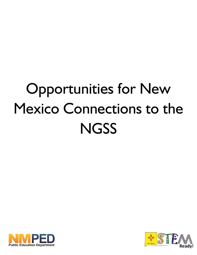## Opportunities for New Mexico Connections to the **NGSS**



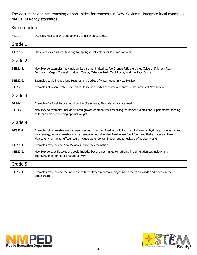The document outlines teaching opportunities for teachers in New Mexico to integrate local examples NM STEM Ready standards.

| Kindergarten     |                                                                                                                                                                                                                                                                                                                                    |  |
|------------------|------------------------------------------------------------------------------------------------------------------------------------------------------------------------------------------------------------------------------------------------------------------------------------------------------------------------------------|--|
| K-LS1-1.         | Use New Mexico plants and animals to describe patterns.                                                                                                                                                                                                                                                                            |  |
| Grade 1          |                                                                                                                                                                                                                                                                                                                                    |  |
| 1-ESS1-2.        | Use events such as leaf budding for spring or fall colors for fall times of year.                                                                                                                                                                                                                                                  |  |
| Grade 2          |                                                                                                                                                                                                                                                                                                                                    |  |
| 2-ESS1-1.        | New Mexico examples may include, but are not limited to, Rio Grande Rift, the Valles Caldera, Shiprock Rock<br>Formation, Organ Mountains, Mount Taylor, Cabezon Peak, Tent Rocks, and the Taos Gorge.                                                                                                                             |  |
| 2-ESS2-2.        | Examples could include land features and bodies of water found in New Mexico.                                                                                                                                                                                                                                                      |  |
| $2$ -ESS $2$ -3. | Examples of where water is found could include bodies of water and snow in mountains of New Mexico.                                                                                                                                                                                                                                |  |
| Grade 3          |                                                                                                                                                                                                                                                                                                                                    |  |
| 3-LS4-1.         | Example of a fossil to use could be the Coelophysis, New Mexico's state fossil.                                                                                                                                                                                                                                                    |  |
| 3-LS3-2.         | New Mexico examples include stunted growth of pinon trees receiving insufficient rainfall and supplemental feeding<br>of farm animals producing optimal weight.                                                                                                                                                                    |  |
| Grade 4          |                                                                                                                                                                                                                                                                                                                                    |  |
| 4-ESS3-1.        | Examples of renewable energy resources found in New Mexico could include wind energy, hydroelectric energy, and<br>solar energy; non-renewable energy resources found in New Mexico are fossil fuels and fissile materials. New<br>Mexico environmental effects could include water contamination due to leakage of nuclear waste. |  |
| 4-ESS1-1.        | Examples may include New Mexico specific rock formations.                                                                                                                                                                                                                                                                          |  |
| 4-ESS3-2.        | New Mexico specific solutions could include, but are not limited to, utilizing fire simulation technology and<br>improving monitoring of drought activity.                                                                                                                                                                         |  |
| Grade 5          |                                                                                                                                                                                                                                                                                                                                    |  |
| 5-ESS2-1.        | Examples may include the influence of New Mexico mountain ranges and deserts on winds and clouds in the<br>atmosphere.                                                                                                                                                                                                             |  |